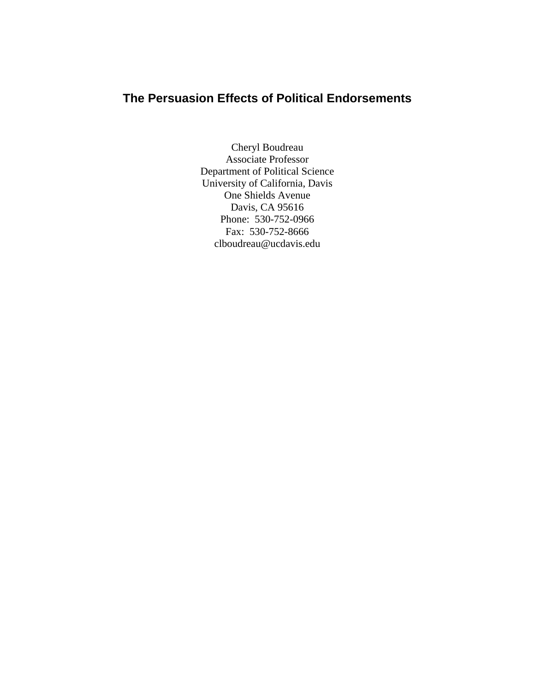# **The Persuasion Effects of Political Endorsements**

Cheryl Boudreau Associate Professor Department of Political Science University of California, Davis One Shields Avenue Davis, CA 95616 Phone: 530-752-0966 Fax: 530-752-8666 clboudreau@ucdavis.edu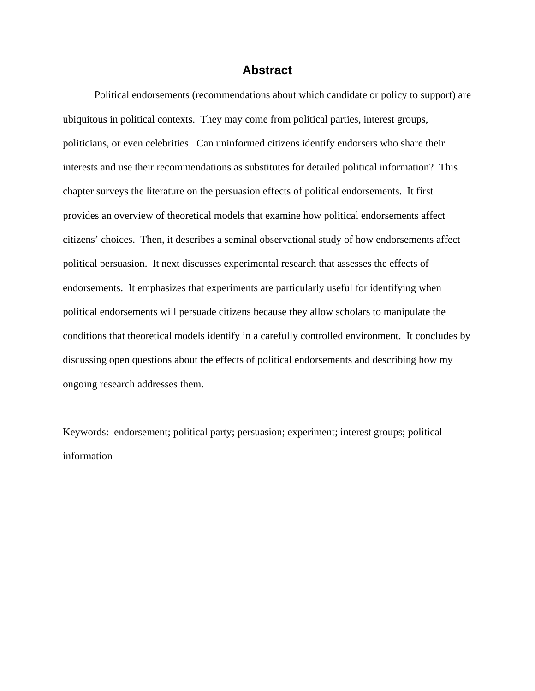## **Abstract**

Political endorsements (recommendations about which candidate or policy to support) are ubiquitous in political contexts. They may come from political parties, interest groups, politicians, or even celebrities. Can uninformed citizens identify endorsers who share their interests and use their recommendations as substitutes for detailed political information? This chapter surveys the literature on the persuasion effects of political endorsements. It first provides an overview of theoretical models that examine how political endorsements affect citizens' choices. Then, it describes a seminal observational study of how endorsements affect political persuasion. It next discusses experimental research that assesses the effects of endorsements. It emphasizes that experiments are particularly useful for identifying when political endorsements will persuade citizens because they allow scholars to manipulate the conditions that theoretical models identify in a carefully controlled environment. It concludes by discussing open questions about the effects of political endorsements and describing how my ongoing research addresses them.

Keywords: endorsement; political party; persuasion; experiment; interest groups; political information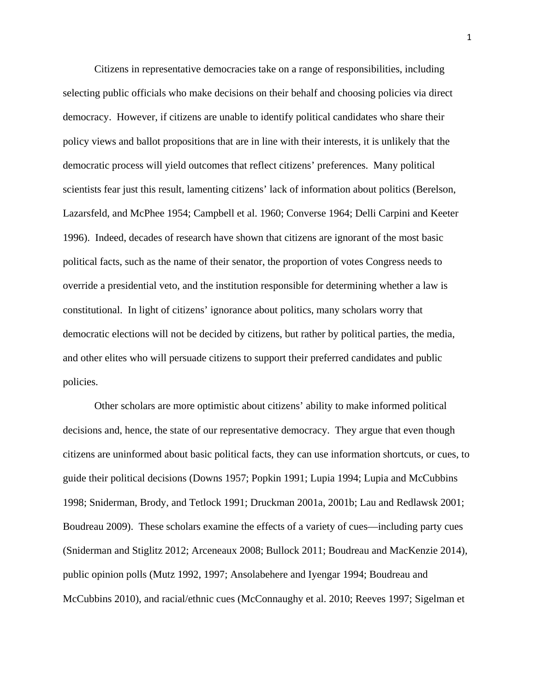Citizens in representative democracies take on a range of responsibilities, including selecting public officials who make decisions on their behalf and choosing policies via direct democracy. However, if citizens are unable to identify political candidates who share their policy views and ballot propositions that are in line with their interests, it is unlikely that the democratic process will yield outcomes that reflect citizens' preferences. Many political scientists fear just this result, lamenting citizens' lack of information about politics (Berelson, Lazarsfeld, and McPhee 1954; Campbell et al. 1960; Converse 1964; Delli Carpini and Keeter 1996). Indeed, decades of research have shown that citizens are ignorant of the most basic political facts, such as the name of their senator, the proportion of votes Congress needs to override a presidential veto, and the institution responsible for determining whether a law is constitutional. In light of citizens' ignorance about politics, many scholars worry that democratic elections will not be decided by citizens, but rather by political parties, the media, and other elites who will persuade citizens to support their preferred candidates and public policies.

Other scholars are more optimistic about citizens' ability to make informed political decisions and, hence, the state of our representative democracy. They argue that even though citizens are uninformed about basic political facts, they can use information shortcuts, or cues, to guide their political decisions (Downs 1957; Popkin 1991; Lupia 1994; Lupia and McCubbins 1998; Sniderman, Brody, and Tetlock 1991; Druckman 2001a, 2001b; Lau and Redlawsk 2001; Boudreau 2009). These scholars examine the effects of a variety of cues—including party cues (Sniderman and Stiglitz 2012; Arceneaux 2008; Bullock 2011; Boudreau and MacKenzie 2014), public opinion polls (Mutz 1992, 1997; Ansolabehere and Iyengar 1994; Boudreau and McCubbins 2010), and racial/ethnic cues (McConnaughy et al. 2010; Reeves 1997; Sigelman et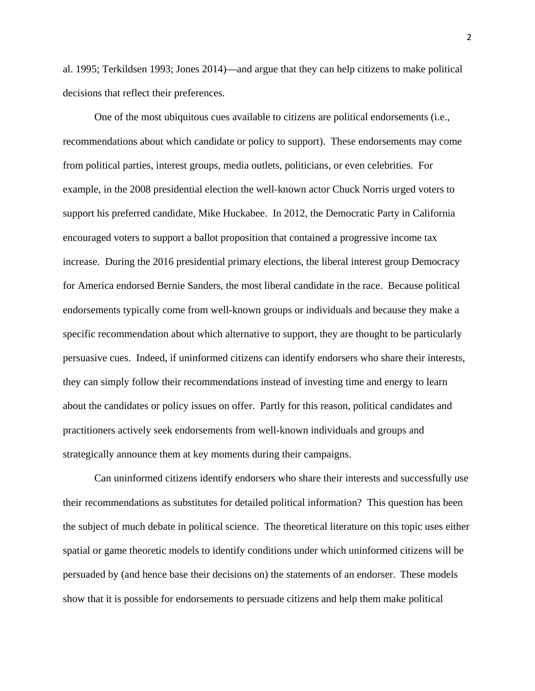al. 1995; Terkildsen 1993; Jones 2014)—and argue that they can help citizens to make political decisions that reflect their preferences.

One of the most ubiquitous cues available to citizens are political endorsements (i.e., recommendations about which candidate or policy to support). These endorsements may come from political parties, interest groups, media outlets, politicians, or even celebrities. For example, in the 2008 presidential election the well-known actor Chuck Norris urged voters to support his preferred candidate, Mike Huckabee. In 2012, the Democratic Party in California encouraged voters to support a ballot proposition that contained a progressive income tax increase. During the 2016 presidential primary elections, the liberal interest group Democracy for America endorsed Bernie Sanders, the most liberal candidate in the race. Because political endorsements typically come from well-known groups or individuals and because they make a specific recommendation about which alternative to support, they are thought to be particularly persuasive cues. Indeed, if uninformed citizens can identify endorsers who share their interests, they can simply follow their recommendations instead of investing time and energy to learn about the candidates or policy issues on offer. Partly for this reason, political candidates and practitioners actively seek endorsements from well-known individuals and groups and strategically announce them at key moments during their campaigns.

Can uninformed citizens identify endorsers who share their interests and successfully use their recommendations as substitutes for detailed political information? This question has been the subject of much debate in political science. The theoretical literature on this topic uses either spatial or game theoretic models to identify conditions under which uninformed citizens will be persuaded by (and hence base their decisions on) the statements of an endorser. These models show that it is possible for endorsements to persuade citizens and help them make political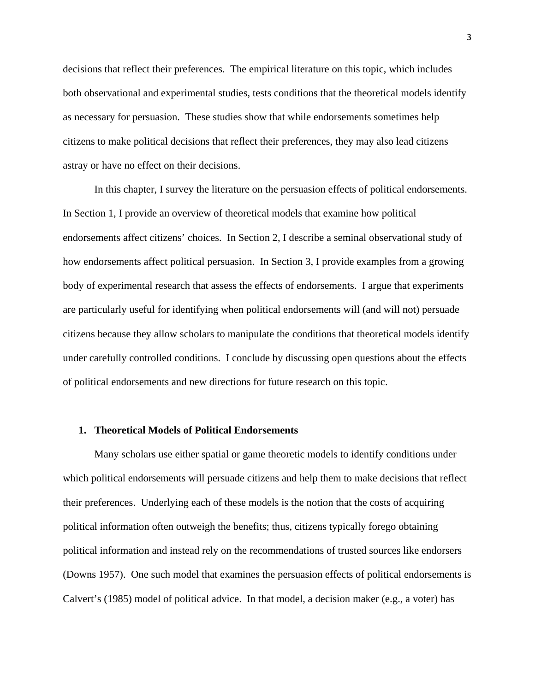decisions that reflect their preferences. The empirical literature on this topic, which includes both observational and experimental studies, tests conditions that the theoretical models identify as necessary for persuasion. These studies show that while endorsements sometimes help citizens to make political decisions that reflect their preferences, they may also lead citizens astray or have no effect on their decisions.

In this chapter, I survey the literature on the persuasion effects of political endorsements. In Section 1, I provide an overview of theoretical models that examine how political endorsements affect citizens' choices. In Section 2, I describe a seminal observational study of how endorsements affect political persuasion. In Section 3, I provide examples from a growing body of experimental research that assess the effects of endorsements. I argue that experiments are particularly useful for identifying when political endorsements will (and will not) persuade citizens because they allow scholars to manipulate the conditions that theoretical models identify under carefully controlled conditions. I conclude by discussing open questions about the effects of political endorsements and new directions for future research on this topic.

#### **1. Theoretical Models of Political Endorsements**

Many scholars use either spatial or game theoretic models to identify conditions under which political endorsements will persuade citizens and help them to make decisions that reflect their preferences. Underlying each of these models is the notion that the costs of acquiring political information often outweigh the benefits; thus, citizens typically forego obtaining political information and instead rely on the recommendations of trusted sources like endorsers (Downs 1957). One such model that examines the persuasion effects of political endorsements is Calvert's (1985) model of political advice. In that model, a decision maker (e.g., a voter) has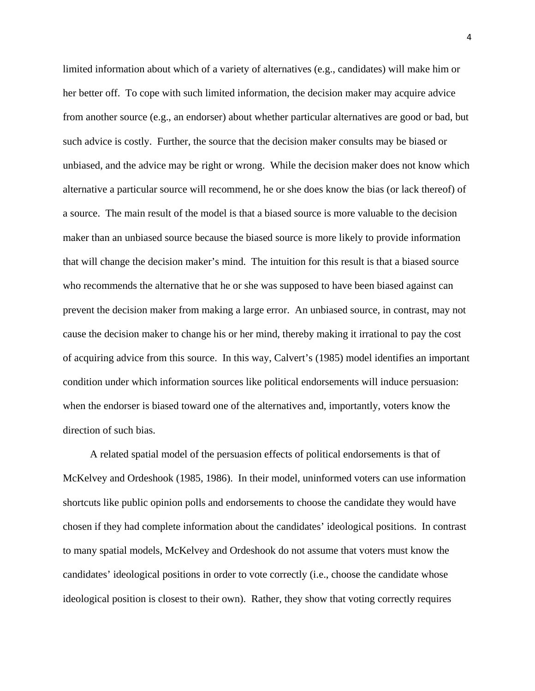limited information about which of a variety of alternatives (e.g., candidates) will make him or her better off. To cope with such limited information, the decision maker may acquire advice from another source (e.g., an endorser) about whether particular alternatives are good or bad, but such advice is costly. Further, the source that the decision maker consults may be biased or unbiased, and the advice may be right or wrong. While the decision maker does not know which alternative a particular source will recommend, he or she does know the bias (or lack thereof) of a source. The main result of the model is that a biased source is more valuable to the decision maker than an unbiased source because the biased source is more likely to provide information that will change the decision maker's mind. The intuition for this result is that a biased source who recommends the alternative that he or she was supposed to have been biased against can prevent the decision maker from making a large error. An unbiased source, in contrast, may not cause the decision maker to change his or her mind, thereby making it irrational to pay the cost of acquiring advice from this source. In this way, Calvert's (1985) model identifies an important condition under which information sources like political endorsements will induce persuasion: when the endorser is biased toward one of the alternatives and, importantly, voters know the direction of such bias.

A related spatial model of the persuasion effects of political endorsements is that of McKelvey and Ordeshook (1985, 1986). In their model, uninformed voters can use information shortcuts like public opinion polls and endorsements to choose the candidate they would have chosen if they had complete information about the candidates' ideological positions. In contrast to many spatial models, McKelvey and Ordeshook do not assume that voters must know the candidates' ideological positions in order to vote correctly (i.e., choose the candidate whose ideological position is closest to their own). Rather, they show that voting correctly requires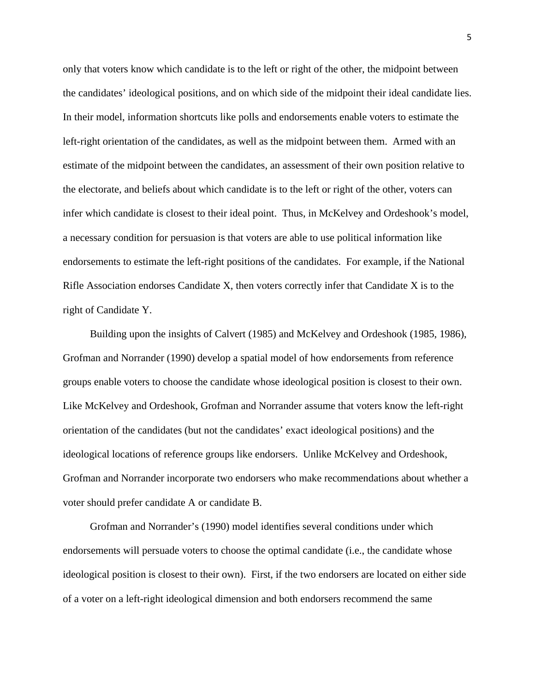only that voters know which candidate is to the left or right of the other, the midpoint between the candidates' ideological positions, and on which side of the midpoint their ideal candidate lies. In their model, information shortcuts like polls and endorsements enable voters to estimate the left-right orientation of the candidates, as well as the midpoint between them. Armed with an estimate of the midpoint between the candidates, an assessment of their own position relative to the electorate, and beliefs about which candidate is to the left or right of the other, voters can infer which candidate is closest to their ideal point. Thus, in McKelvey and Ordeshook's model, a necessary condition for persuasion is that voters are able to use political information like endorsements to estimate the left-right positions of the candidates. For example, if the National Rifle Association endorses Candidate X, then voters correctly infer that Candidate X is to the right of Candidate Y.

Building upon the insights of Calvert (1985) and McKelvey and Ordeshook (1985, 1986), Grofman and Norrander (1990) develop a spatial model of how endorsements from reference groups enable voters to choose the candidate whose ideological position is closest to their own. Like McKelvey and Ordeshook, Grofman and Norrander assume that voters know the left-right orientation of the candidates (but not the candidates' exact ideological positions) and the ideological locations of reference groups like endorsers. Unlike McKelvey and Ordeshook, Grofman and Norrander incorporate two endorsers who make recommendations about whether a voter should prefer candidate A or candidate B.

Grofman and Norrander's (1990) model identifies several conditions under which endorsements will persuade voters to choose the optimal candidate (i.e., the candidate whose ideological position is closest to their own). First, if the two endorsers are located on either side of a voter on a left-right ideological dimension and both endorsers recommend the same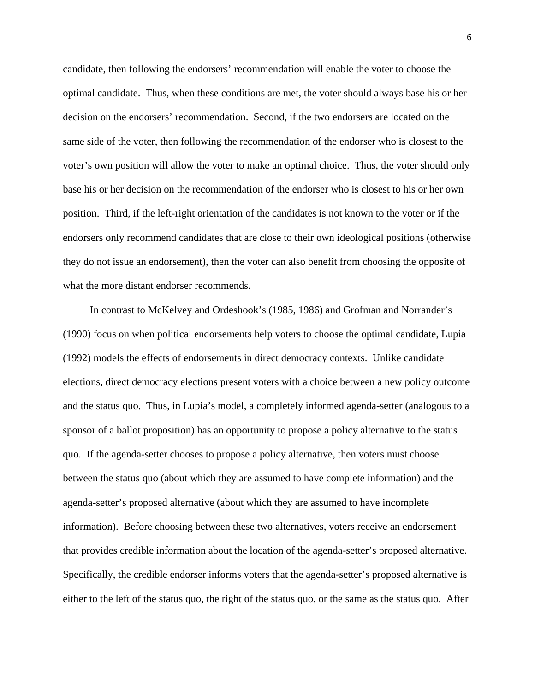candidate, then following the endorsers' recommendation will enable the voter to choose the optimal candidate. Thus, when these conditions are met, the voter should always base his or her decision on the endorsers' recommendation. Second, if the two endorsers are located on the same side of the voter, then following the recommendation of the endorser who is closest to the voter's own position will allow the voter to make an optimal choice. Thus, the voter should only base his or her decision on the recommendation of the endorser who is closest to his or her own position. Third, if the left-right orientation of the candidates is not known to the voter or if the endorsers only recommend candidates that are close to their own ideological positions (otherwise they do not issue an endorsement), then the voter can also benefit from choosing the opposite of what the more distant endorser recommends.

In contrast to McKelvey and Ordeshook's (1985, 1986) and Grofman and Norrander's (1990) focus on when political endorsements help voters to choose the optimal candidate, Lupia (1992) models the effects of endorsements in direct democracy contexts. Unlike candidate elections, direct democracy elections present voters with a choice between a new policy outcome and the status quo. Thus, in Lupia's model, a completely informed agenda-setter (analogous to a sponsor of a ballot proposition) has an opportunity to propose a policy alternative to the status quo. If the agenda-setter chooses to propose a policy alternative, then voters must choose between the status quo (about which they are assumed to have complete information) and the agenda-setter's proposed alternative (about which they are assumed to have incomplete information). Before choosing between these two alternatives, voters receive an endorsement that provides credible information about the location of the agenda-setter's proposed alternative. Specifically, the credible endorser informs voters that the agenda-setter's proposed alternative is either to the left of the status quo, the right of the status quo, or the same as the status quo. After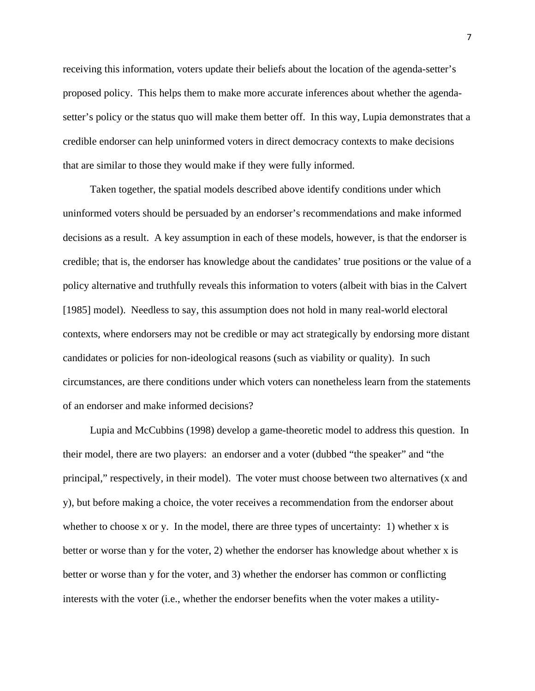receiving this information, voters update their beliefs about the location of the agenda-setter's proposed policy. This helps them to make more accurate inferences about whether the agendasetter's policy or the status quo will make them better off. In this way, Lupia demonstrates that a credible endorser can help uninformed voters in direct democracy contexts to make decisions that are similar to those they would make if they were fully informed.

Taken together, the spatial models described above identify conditions under which uninformed voters should be persuaded by an endorser's recommendations and make informed decisions as a result. A key assumption in each of these models, however, is that the endorser is credible; that is, the endorser has knowledge about the candidates' true positions or the value of a policy alternative and truthfully reveals this information to voters (albeit with bias in the Calvert [1985] model). Needless to say, this assumption does not hold in many real-world electoral contexts, where endorsers may not be credible or may act strategically by endorsing more distant candidates or policies for non-ideological reasons (such as viability or quality). In such circumstances, are there conditions under which voters can nonetheless learn from the statements of an endorser and make informed decisions?

Lupia and McCubbins (1998) develop a game-theoretic model to address this question. In their model, there are two players: an endorser and a voter (dubbed "the speaker" and "the principal," respectively, in their model). The voter must choose between two alternatives (x and y), but before making a choice, the voter receives a recommendation from the endorser about whether to choose x or y. In the model, there are three types of uncertainty: 1) whether x is better or worse than y for the voter, 2) whether the endorser has knowledge about whether x is better or worse than y for the voter, and 3) whether the endorser has common or conflicting interests with the voter (i.e., whether the endorser benefits when the voter makes a utility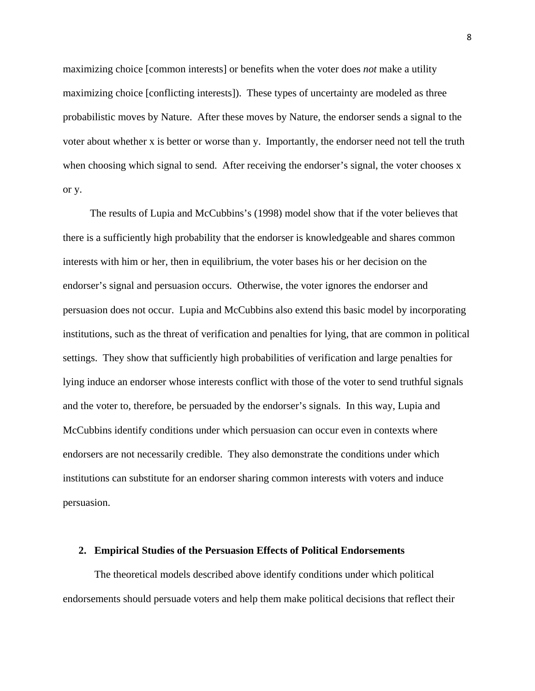maximizing choice [common interests] or benefits when the voter does *not* make a utility maximizing choice [conflicting interests]). These types of uncertainty are modeled as three probabilistic moves by Nature. After these moves by Nature, the endorser sends a signal to the voter about whether x is better or worse than y. Importantly, the endorser need not tell the truth when choosing which signal to send. After receiving the endorser's signal, the voter chooses x or y.

The results of Lupia and McCubbins's (1998) model show that if the voter believes that there is a sufficiently high probability that the endorser is knowledgeable and shares common interests with him or her, then in equilibrium, the voter bases his or her decision on the endorser's signal and persuasion occurs. Otherwise, the voter ignores the endorser and persuasion does not occur. Lupia and McCubbins also extend this basic model by incorporating institutions, such as the threat of verification and penalties for lying, that are common in political settings. They show that sufficiently high probabilities of verification and large penalties for lying induce an endorser whose interests conflict with those of the voter to send truthful signals and the voter to, therefore, be persuaded by the endorser's signals. In this way, Lupia and McCubbins identify conditions under which persuasion can occur even in contexts where endorsers are not necessarily credible. They also demonstrate the conditions under which institutions can substitute for an endorser sharing common interests with voters and induce persuasion.

#### **2. Empirical Studies of the Persuasion Effects of Political Endorsements**

The theoretical models described above identify conditions under which political endorsements should persuade voters and help them make political decisions that reflect their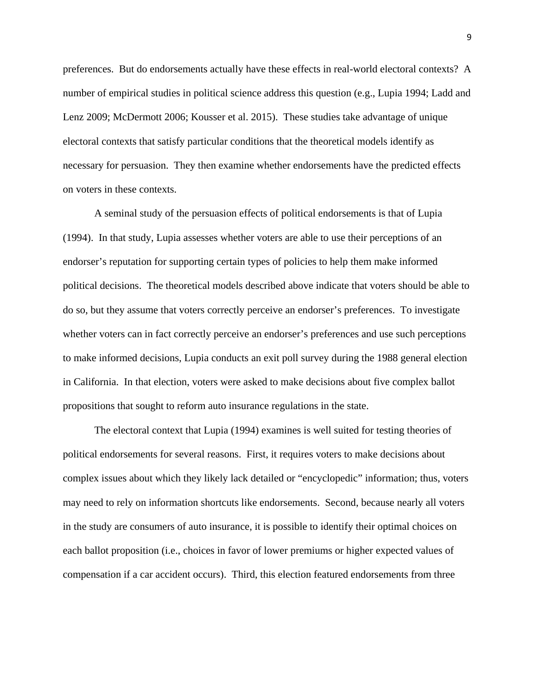preferences. But do endorsements actually have these effects in real-world electoral contexts? A number of empirical studies in political science address this question (e.g., Lupia 1994; Ladd and Lenz 2009; McDermott 2006; Kousser et al. 2015). These studies take advantage of unique electoral contexts that satisfy particular conditions that the theoretical models identify as necessary for persuasion. They then examine whether endorsements have the predicted effects on voters in these contexts.

A seminal study of the persuasion effects of political endorsements is that of Lupia (1994). In that study, Lupia assesses whether voters are able to use their perceptions of an endorser's reputation for supporting certain types of policies to help them make informed political decisions. The theoretical models described above indicate that voters should be able to do so, but they assume that voters correctly perceive an endorser's preferences. To investigate whether voters can in fact correctly perceive an endorser's preferences and use such perceptions to make informed decisions, Lupia conducts an exit poll survey during the 1988 general election in California. In that election, voters were asked to make decisions about five complex ballot propositions that sought to reform auto insurance regulations in the state.

The electoral context that Lupia (1994) examines is well suited for testing theories of political endorsements for several reasons. First, it requires voters to make decisions about complex issues about which they likely lack detailed or "encyclopedic" information; thus, voters may need to rely on information shortcuts like endorsements. Second, because nearly all voters in the study are consumers of auto insurance, it is possible to identify their optimal choices on each ballot proposition (i.e., choices in favor of lower premiums or higher expected values of compensation if a car accident occurs). Third, this election featured endorsements from three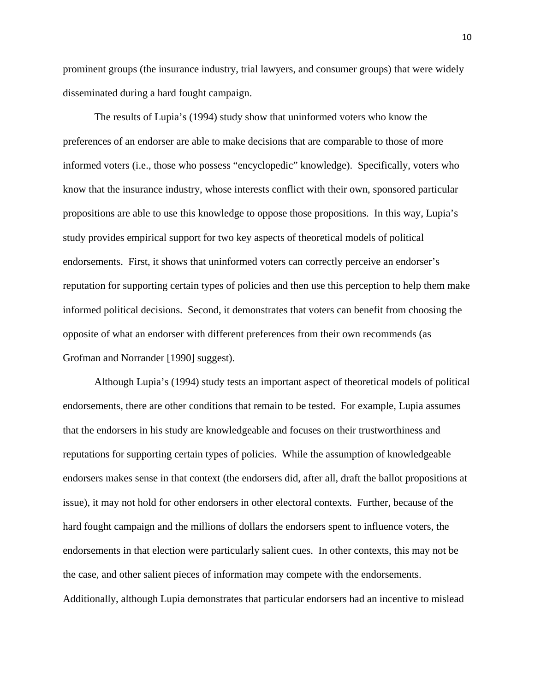prominent groups (the insurance industry, trial lawyers, and consumer groups) that were widely disseminated during a hard fought campaign.

The results of Lupia's (1994) study show that uninformed voters who know the preferences of an endorser are able to make decisions that are comparable to those of more informed voters (i.e., those who possess "encyclopedic" knowledge). Specifically, voters who know that the insurance industry, whose interests conflict with their own, sponsored particular propositions are able to use this knowledge to oppose those propositions. In this way, Lupia's study provides empirical support for two key aspects of theoretical models of political endorsements. First, it shows that uninformed voters can correctly perceive an endorser's reputation for supporting certain types of policies and then use this perception to help them make informed political decisions. Second, it demonstrates that voters can benefit from choosing the opposite of what an endorser with different preferences from their own recommends (as Grofman and Norrander [1990] suggest).

Although Lupia's (1994) study tests an important aspect of theoretical models of political endorsements, there are other conditions that remain to be tested. For example, Lupia assumes that the endorsers in his study are knowledgeable and focuses on their trustworthiness and reputations for supporting certain types of policies. While the assumption of knowledgeable endorsers makes sense in that context (the endorsers did, after all, draft the ballot propositions at issue), it may not hold for other endorsers in other electoral contexts. Further, because of the hard fought campaign and the millions of dollars the endorsers spent to influence voters, the endorsements in that election were particularly salient cues. In other contexts, this may not be the case, and other salient pieces of information may compete with the endorsements. Additionally, although Lupia demonstrates that particular endorsers had an incentive to mislead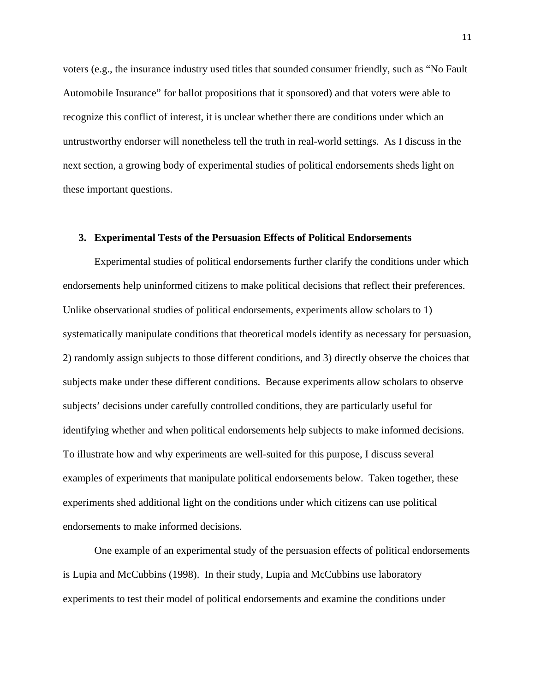voters (e.g., the insurance industry used titles that sounded consumer friendly, such as "No Fault Automobile Insurance" for ballot propositions that it sponsored) and that voters were able to recognize this conflict of interest, it is unclear whether there are conditions under which an untrustworthy endorser will nonetheless tell the truth in real-world settings. As I discuss in the next section, a growing body of experimental studies of political endorsements sheds light on these important questions.

#### **3. Experimental Tests of the Persuasion Effects of Political Endorsements**

Experimental studies of political endorsements further clarify the conditions under which endorsements help uninformed citizens to make political decisions that reflect their preferences. Unlike observational studies of political endorsements, experiments allow scholars to 1) systematically manipulate conditions that theoretical models identify as necessary for persuasion, 2) randomly assign subjects to those different conditions, and 3) directly observe the choices that subjects make under these different conditions. Because experiments allow scholars to observe subjects' decisions under carefully controlled conditions, they are particularly useful for identifying whether and when political endorsements help subjects to make informed decisions. To illustrate how and why experiments are well-suited for this purpose, I discuss several examples of experiments that manipulate political endorsements below. Taken together, these experiments shed additional light on the conditions under which citizens can use political endorsements to make informed decisions.

One example of an experimental study of the persuasion effects of political endorsements is Lupia and McCubbins (1998). In their study, Lupia and McCubbins use laboratory experiments to test their model of political endorsements and examine the conditions under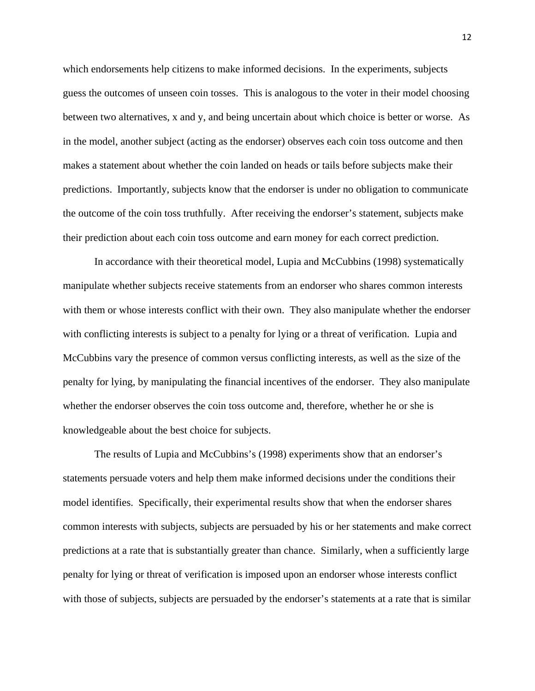which endorsements help citizens to make informed decisions. In the experiments, subjects guess the outcomes of unseen coin tosses. This is analogous to the voter in their model choosing between two alternatives, x and y, and being uncertain about which choice is better or worse. As in the model, another subject (acting as the endorser) observes each coin toss outcome and then makes a statement about whether the coin landed on heads or tails before subjects make their predictions. Importantly, subjects know that the endorser is under no obligation to communicate the outcome of the coin toss truthfully. After receiving the endorser's statement, subjects make their prediction about each coin toss outcome and earn money for each correct prediction.

In accordance with their theoretical model, Lupia and McCubbins (1998) systematically manipulate whether subjects receive statements from an endorser who shares common interests with them or whose interests conflict with their own. They also manipulate whether the endorser with conflicting interests is subject to a penalty for lying or a threat of verification. Lupia and McCubbins vary the presence of common versus conflicting interests, as well as the size of the penalty for lying, by manipulating the financial incentives of the endorser. They also manipulate whether the endorser observes the coin toss outcome and, therefore, whether he or she is knowledgeable about the best choice for subjects.

The results of Lupia and McCubbins's (1998) experiments show that an endorser's statements persuade voters and help them make informed decisions under the conditions their model identifies. Specifically, their experimental results show that when the endorser shares common interests with subjects, subjects are persuaded by his or her statements and make correct predictions at a rate that is substantially greater than chance. Similarly, when a sufficiently large penalty for lying or threat of verification is imposed upon an endorser whose interests conflict with those of subjects, subjects are persuaded by the endorser's statements at a rate that is similar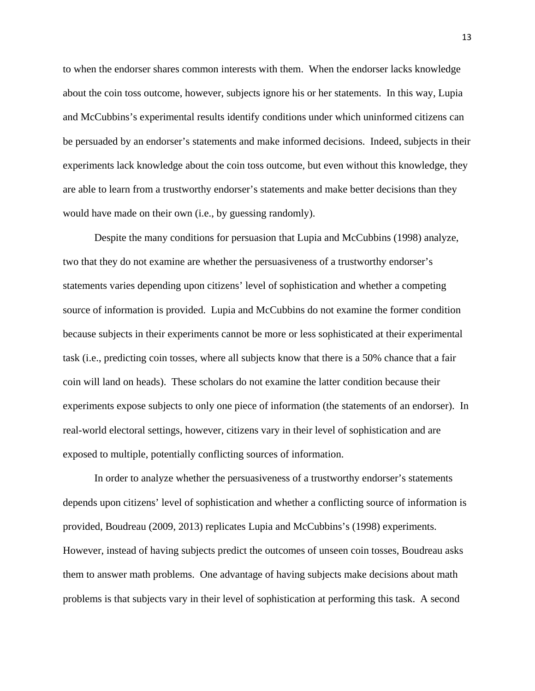to when the endorser shares common interests with them. When the endorser lacks knowledge about the coin toss outcome, however, subjects ignore his or her statements. In this way, Lupia and McCubbins's experimental results identify conditions under which uninformed citizens can be persuaded by an endorser's statements and make informed decisions. Indeed, subjects in their experiments lack knowledge about the coin toss outcome, but even without this knowledge, they are able to learn from a trustworthy endorser's statements and make better decisions than they would have made on their own (i.e., by guessing randomly).

Despite the many conditions for persuasion that Lupia and McCubbins (1998) analyze, two that they do not examine are whether the persuasiveness of a trustworthy endorser's statements varies depending upon citizens' level of sophistication and whether a competing source of information is provided. Lupia and McCubbins do not examine the former condition because subjects in their experiments cannot be more or less sophisticated at their experimental task (i.e., predicting coin tosses, where all subjects know that there is a 50% chance that a fair coin will land on heads). These scholars do not examine the latter condition because their experiments expose subjects to only one piece of information (the statements of an endorser). In real-world electoral settings, however, citizens vary in their level of sophistication and are exposed to multiple, potentially conflicting sources of information.

In order to analyze whether the persuasiveness of a trustworthy endorser's statements depends upon citizens' level of sophistication and whether a conflicting source of information is provided, Boudreau (2009, 2013) replicates Lupia and McCubbins's (1998) experiments. However, instead of having subjects predict the outcomes of unseen coin tosses, Boudreau asks them to answer math problems. One advantage of having subjects make decisions about math problems is that subjects vary in their level of sophistication at performing this task. A second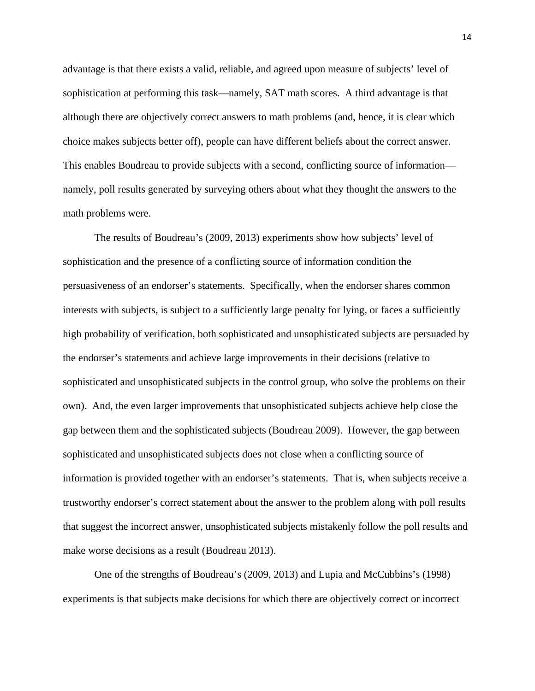advantage is that there exists a valid, reliable, and agreed upon measure of subjects' level of sophistication at performing this task—namely, SAT math scores. A third advantage is that although there are objectively correct answers to math problems (and, hence, it is clear which choice makes subjects better off), people can have different beliefs about the correct answer. This enables Boudreau to provide subjects with a second, conflicting source of information namely, poll results generated by surveying others about what they thought the answers to the math problems were.

The results of Boudreau's (2009, 2013) experiments show how subjects' level of sophistication and the presence of a conflicting source of information condition the persuasiveness of an endorser's statements. Specifically, when the endorser shares common interests with subjects, is subject to a sufficiently large penalty for lying, or faces a sufficiently high probability of verification, both sophisticated and unsophisticated subjects are persuaded by the endorser's statements and achieve large improvements in their decisions (relative to sophisticated and unsophisticated subjects in the control group, who solve the problems on their own). And, the even larger improvements that unsophisticated subjects achieve help close the gap between them and the sophisticated subjects (Boudreau 2009). However, the gap between sophisticated and unsophisticated subjects does not close when a conflicting source of information is provided together with an endorser's statements. That is, when subjects receive a trustworthy endorser's correct statement about the answer to the problem along with poll results that suggest the incorrect answer, unsophisticated subjects mistakenly follow the poll results and make worse decisions as a result (Boudreau 2013).

One of the strengths of Boudreau's (2009, 2013) and Lupia and McCubbins's (1998) experiments is that subjects make decisions for which there are objectively correct or incorrect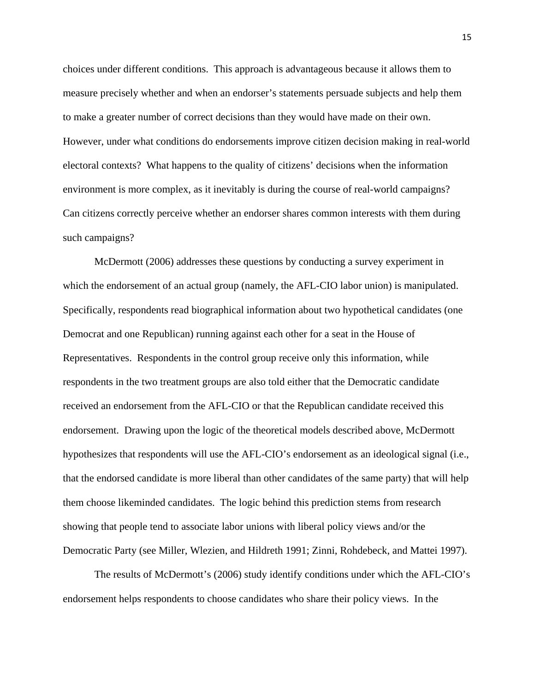choices under different conditions. This approach is advantageous because it allows them to measure precisely whether and when an endorser's statements persuade subjects and help them to make a greater number of correct decisions than they would have made on their own. However, under what conditions do endorsements improve citizen decision making in real-world electoral contexts? What happens to the quality of citizens' decisions when the information environment is more complex, as it inevitably is during the course of real-world campaigns? Can citizens correctly perceive whether an endorser shares common interests with them during such campaigns?

McDermott (2006) addresses these questions by conducting a survey experiment in which the endorsement of an actual group (namely, the AFL-CIO labor union) is manipulated. Specifically, respondents read biographical information about two hypothetical candidates (one Democrat and one Republican) running against each other for a seat in the House of Representatives. Respondents in the control group receive only this information, while respondents in the two treatment groups are also told either that the Democratic candidate received an endorsement from the AFL-CIO or that the Republican candidate received this endorsement. Drawing upon the logic of the theoretical models described above, McDermott hypothesizes that respondents will use the AFL-CIO's endorsement as an ideological signal (i.e., that the endorsed candidate is more liberal than other candidates of the same party) that will help them choose likeminded candidates. The logic behind this prediction stems from research showing that people tend to associate labor unions with liberal policy views and/or the Democratic Party (see Miller, Wlezien, and Hildreth 1991; Zinni, Rohdebeck, and Mattei 1997).

The results of McDermott's (2006) study identify conditions under which the AFL-CIO's endorsement helps respondents to choose candidates who share their policy views. In the

15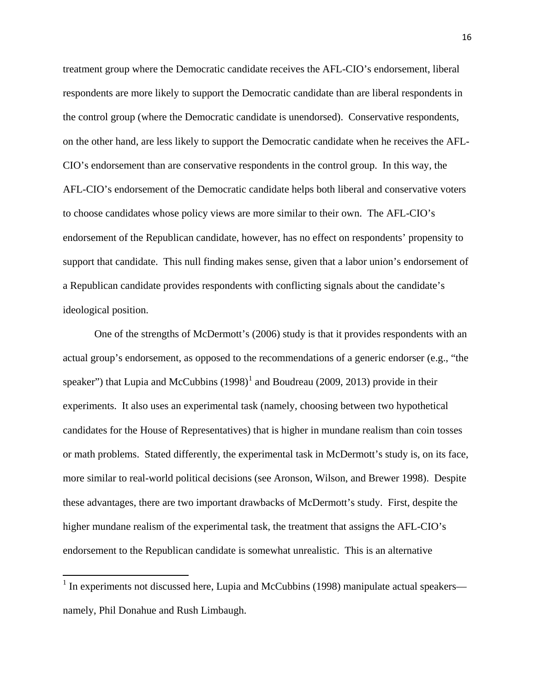treatment group where the Democratic candidate receives the AFL-CIO's endorsement, liberal respondents are more likely to support the Democratic candidate than are liberal respondents in the control group (where the Democratic candidate is unendorsed). Conservative respondents, on the other hand, are less likely to support the Democratic candidate when he receives the AFL-CIO's endorsement than are conservative respondents in the control group. In this way, the AFL-CIO's endorsement of the Democratic candidate helps both liberal and conservative voters to choose candidates whose policy views are more similar to their own. The AFL-CIO's endorsement of the Republican candidate, however, has no effect on respondents' propensity to support that candidate. This null finding makes sense, given that a labor union's endorsement of a Republican candidate provides respondents with conflicting signals about the candidate's ideological position.

One of the strengths of McDermott's (2006) study is that it provides respondents with an actual group's endorsement, as opposed to the recommendations of a generic endorser (e.g., "the speaker") that Lupia and McCubbins  $(1998)^1$  $(1998)^1$  $(1998)^1$  and Boudreau (2009, 2013) provide in their experiments. It also uses an experimental task (namely, choosing between two hypothetical candidates for the House of Representatives) that is higher in mundane realism than coin tosses or math problems. Stated differently, the experimental task in McDermott's study is, on its face, more similar to real-world political decisions (see Aronson, Wilson, and Brewer 1998). Despite these advantages, there are two important drawbacks of McDermott's study. First, despite the higher mundane realism of the experimental task, the treatment that assigns the AFL-CIO's endorsement to the Republican candidate is somewhat unrealistic. This is an alternative

<span id="page-17-0"></span> $1$  In experiments not discussed here, Lupia and McCubbins (1998) manipulate actual speakers namely, Phil Donahue and Rush Limbaugh.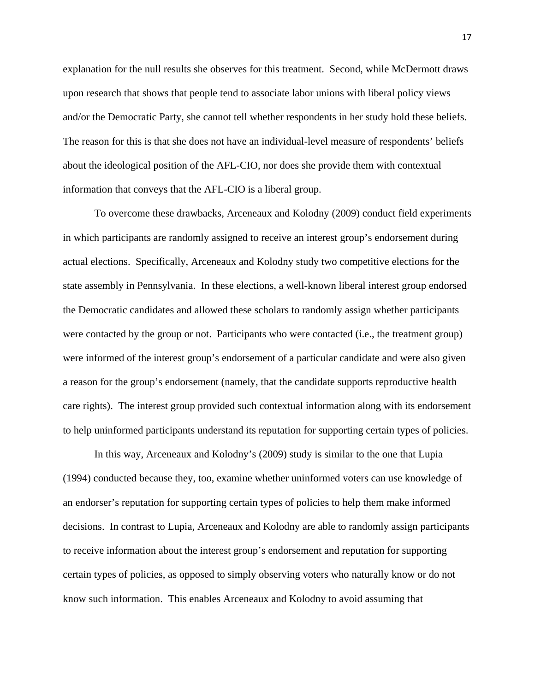explanation for the null results she observes for this treatment. Second, while McDermott draws upon research that shows that people tend to associate labor unions with liberal policy views and/or the Democratic Party, she cannot tell whether respondents in her study hold these beliefs. The reason for this is that she does not have an individual-level measure of respondents' beliefs about the ideological position of the AFL-CIO, nor does she provide them with contextual information that conveys that the AFL-CIO is a liberal group.

To overcome these drawbacks, Arceneaux and Kolodny (2009) conduct field experiments in which participants are randomly assigned to receive an interest group's endorsement during actual elections. Specifically, Arceneaux and Kolodny study two competitive elections for the state assembly in Pennsylvania. In these elections, a well-known liberal interest group endorsed the Democratic candidates and allowed these scholars to randomly assign whether participants were contacted by the group or not. Participants who were contacted (i.e., the treatment group) were informed of the interest group's endorsement of a particular candidate and were also given a reason for the group's endorsement (namely, that the candidate supports reproductive health care rights). The interest group provided such contextual information along with its endorsement to help uninformed participants understand its reputation for supporting certain types of policies.

In this way, Arceneaux and Kolodny's (2009) study is similar to the one that Lupia (1994) conducted because they, too, examine whether uninformed voters can use knowledge of an endorser's reputation for supporting certain types of policies to help them make informed decisions. In contrast to Lupia, Arceneaux and Kolodny are able to randomly assign participants to receive information about the interest group's endorsement and reputation for supporting certain types of policies, as opposed to simply observing voters who naturally know or do not know such information. This enables Arceneaux and Kolodny to avoid assuming that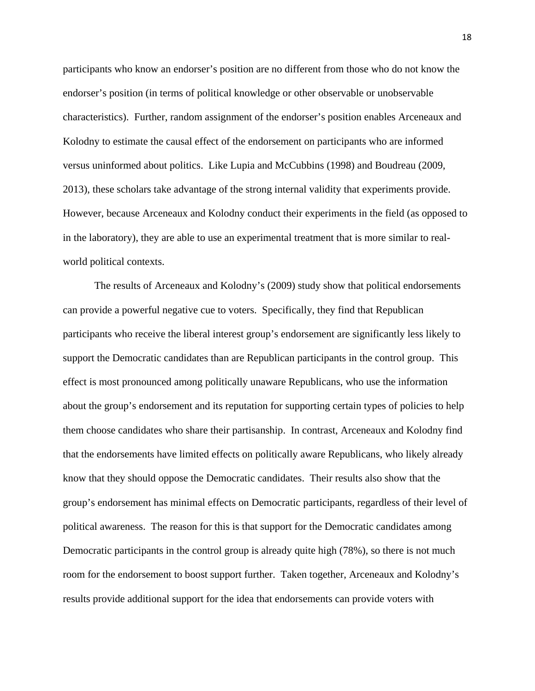participants who know an endorser's position are no different from those who do not know the endorser's position (in terms of political knowledge or other observable or unobservable characteristics). Further, random assignment of the endorser's position enables Arceneaux and Kolodny to estimate the causal effect of the endorsement on participants who are informed versus uninformed about politics. Like Lupia and McCubbins (1998) and Boudreau (2009, 2013), these scholars take advantage of the strong internal validity that experiments provide. However, because Arceneaux and Kolodny conduct their experiments in the field (as opposed to in the laboratory), they are able to use an experimental treatment that is more similar to realworld political contexts.

The results of Arceneaux and Kolodny's (2009) study show that political endorsements can provide a powerful negative cue to voters. Specifically, they find that Republican participants who receive the liberal interest group's endorsement are significantly less likely to support the Democratic candidates than are Republican participants in the control group. This effect is most pronounced among politically unaware Republicans, who use the information about the group's endorsement and its reputation for supporting certain types of policies to help them choose candidates who share their partisanship. In contrast, Arceneaux and Kolodny find that the endorsements have limited effects on politically aware Republicans, who likely already know that they should oppose the Democratic candidates. Their results also show that the group's endorsement has minimal effects on Democratic participants, regardless of their level of political awareness. The reason for this is that support for the Democratic candidates among Democratic participants in the control group is already quite high (78%), so there is not much room for the endorsement to boost support further. Taken together, Arceneaux and Kolodny's results provide additional support for the idea that endorsements can provide voters with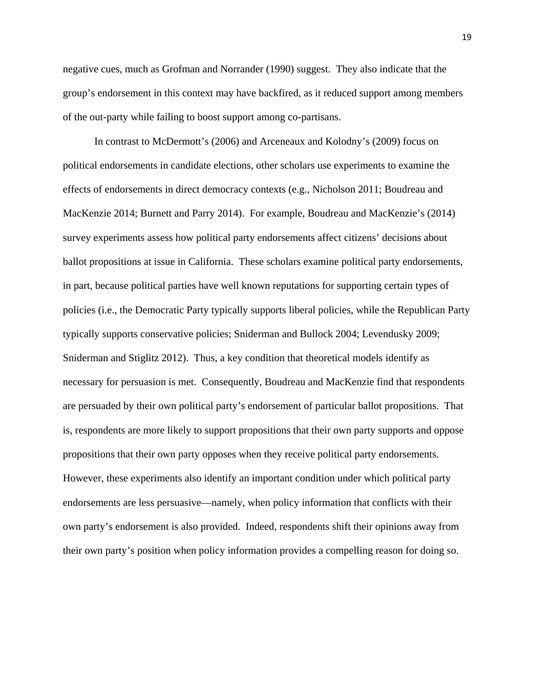negative cues, much as Grofman and Norrander (1990) suggest. They also indicate that the group's endorsement in this context may have backfired, as it reduced support among members of the out-party while failing to boost support among co-partisans.

In contrast to McDermott's (2006) and Arceneaux and Kolodny's (2009) focus on political endorsements in candidate elections, other scholars use experiments to examine the effects of endorsements in direct democracy contexts (e.g., Nicholson 2011; Boudreau and MacKenzie 2014; Burnett and Parry 2014). For example, Boudreau and MacKenzie's (2014) survey experiments assess how political party endorsements affect citizens' decisions about ballot propositions at issue in California. These scholars examine political party endorsements, in part, because political parties have well known reputations for supporting certain types of policies (i.e., the Democratic Party typically supports liberal policies, while the Republican Party typically supports conservative policies; Sniderman and Bullock 2004; Levendusky 2009; Sniderman and Stiglitz 2012). Thus, a key condition that theoretical models identify as necessary for persuasion is met. Consequently, Boudreau and MacKenzie find that respondents are persuaded by their own political party's endorsement of particular ballot propositions. That is, respondents are more likely to support propositions that their own party supports and oppose propositions that their own party opposes when they receive political party endorsements. However, these experiments also identify an important condition under which political party endorsements are less persuasive—namely, when policy information that conflicts with their own party's endorsement is also provided. Indeed, respondents shift their opinions away from their own party's position when policy information provides a compelling reason for doing so.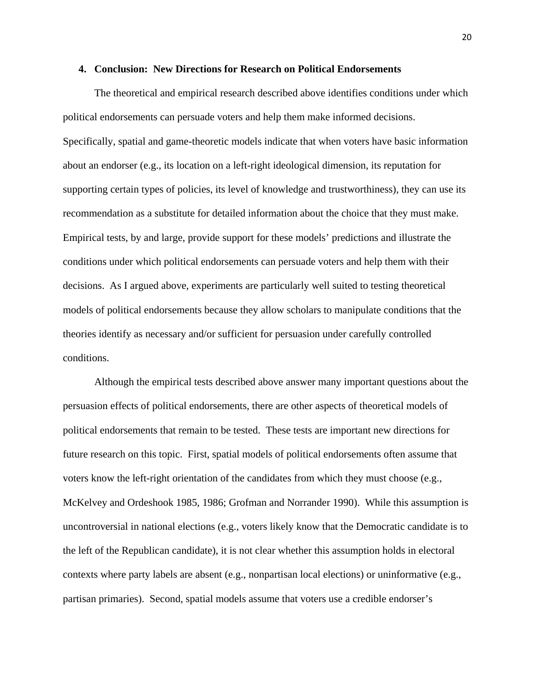### **4. Conclusion: New Directions for Research on Political Endorsements**

The theoretical and empirical research described above identifies conditions under which political endorsements can persuade voters and help them make informed decisions. Specifically, spatial and game-theoretic models indicate that when voters have basic information about an endorser (e.g., its location on a left-right ideological dimension, its reputation for supporting certain types of policies, its level of knowledge and trustworthiness), they can use its recommendation as a substitute for detailed information about the choice that they must make. Empirical tests, by and large, provide support for these models' predictions and illustrate the conditions under which political endorsements can persuade voters and help them with their decisions. As I argued above, experiments are particularly well suited to testing theoretical models of political endorsements because they allow scholars to manipulate conditions that the theories identify as necessary and/or sufficient for persuasion under carefully controlled conditions.

Although the empirical tests described above answer many important questions about the persuasion effects of political endorsements, there are other aspects of theoretical models of political endorsements that remain to be tested. These tests are important new directions for future research on this topic. First, spatial models of political endorsements often assume that voters know the left-right orientation of the candidates from which they must choose (e.g., McKelvey and Ordeshook 1985, 1986; Grofman and Norrander 1990). While this assumption is uncontroversial in national elections (e.g., voters likely know that the Democratic candidate is to the left of the Republican candidate), it is not clear whether this assumption holds in electoral contexts where party labels are absent (e.g., nonpartisan local elections) or uninformative (e.g., partisan primaries). Second, spatial models assume that voters use a credible endorser's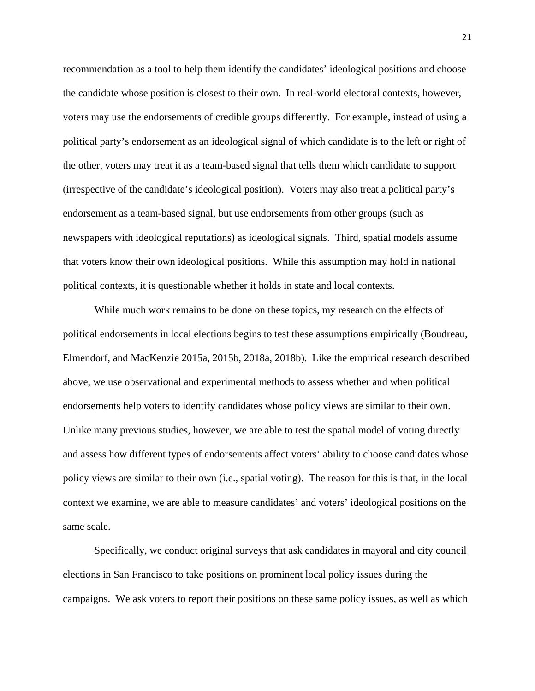recommendation as a tool to help them identify the candidates' ideological positions and choose the candidate whose position is closest to their own. In real-world electoral contexts, however, voters may use the endorsements of credible groups differently. For example, instead of using a political party's endorsement as an ideological signal of which candidate is to the left or right of the other, voters may treat it as a team-based signal that tells them which candidate to support (irrespective of the candidate's ideological position). Voters may also treat a political party's endorsement as a team-based signal, but use endorsements from other groups (such as newspapers with ideological reputations) as ideological signals. Third, spatial models assume that voters know their own ideological positions. While this assumption may hold in national political contexts, it is questionable whether it holds in state and local contexts.

While much work remains to be done on these topics, my research on the effects of political endorsements in local elections begins to test these assumptions empirically (Boudreau, Elmendorf, and MacKenzie 2015a, 2015b, 2018a, 2018b). Like the empirical research described above, we use observational and experimental methods to assess whether and when political endorsements help voters to identify candidates whose policy views are similar to their own. Unlike many previous studies, however, we are able to test the spatial model of voting directly and assess how different types of endorsements affect voters' ability to choose candidates whose policy views are similar to their own (i.e., spatial voting). The reason for this is that, in the local context we examine, we are able to measure candidates' and voters' ideological positions on the same scale.

Specifically, we conduct original surveys that ask candidates in mayoral and city council elections in San Francisco to take positions on prominent local policy issues during the campaigns. We ask voters to report their positions on these same policy issues, as well as which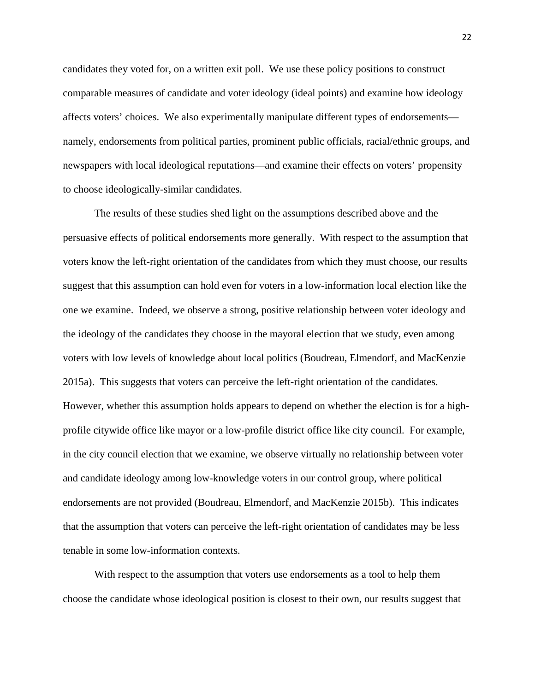candidates they voted for, on a written exit poll. We use these policy positions to construct comparable measures of candidate and voter ideology (ideal points) and examine how ideology affects voters' choices. We also experimentally manipulate different types of endorsements namely, endorsements from political parties, prominent public officials, racial/ethnic groups, and newspapers with local ideological reputations—and examine their effects on voters' propensity to choose ideologically-similar candidates.

The results of these studies shed light on the assumptions described above and the persuasive effects of political endorsements more generally. With respect to the assumption that voters know the left-right orientation of the candidates from which they must choose, our results suggest that this assumption can hold even for voters in a low-information local election like the one we examine. Indeed, we observe a strong, positive relationship between voter ideology and the ideology of the candidates they choose in the mayoral election that we study, even among voters with low levels of knowledge about local politics (Boudreau, Elmendorf, and MacKenzie 2015a). This suggests that voters can perceive the left-right orientation of the candidates. However, whether this assumption holds appears to depend on whether the election is for a highprofile citywide office like mayor or a low-profile district office like city council. For example, in the city council election that we examine, we observe virtually no relationship between voter and candidate ideology among low-knowledge voters in our control group, where political endorsements are not provided (Boudreau, Elmendorf, and MacKenzie 2015b). This indicates that the assumption that voters can perceive the left-right orientation of candidates may be less tenable in some low-information contexts.

With respect to the assumption that voters use endorsements as a tool to help them choose the candidate whose ideological position is closest to their own, our results suggest that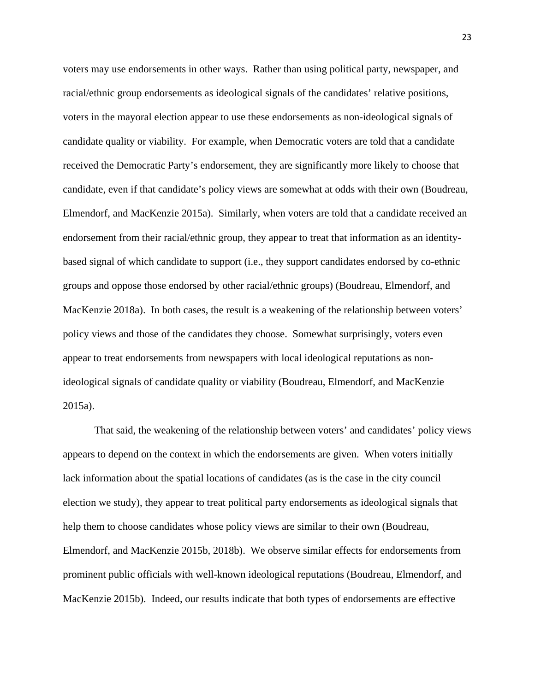voters may use endorsements in other ways. Rather than using political party, newspaper, and racial/ethnic group endorsements as ideological signals of the candidates' relative positions, voters in the mayoral election appear to use these endorsements as non-ideological signals of candidate quality or viability. For example, when Democratic voters are told that a candidate received the Democratic Party's endorsement, they are significantly more likely to choose that candidate, even if that candidate's policy views are somewhat at odds with their own (Boudreau, Elmendorf, and MacKenzie 2015a). Similarly, when voters are told that a candidate received an endorsement from their racial/ethnic group, they appear to treat that information as an identitybased signal of which candidate to support (i.e., they support candidates endorsed by co-ethnic groups and oppose those endorsed by other racial/ethnic groups) (Boudreau, Elmendorf, and MacKenzie 2018a). In both cases, the result is a weakening of the relationship between voters' policy views and those of the candidates they choose. Somewhat surprisingly, voters even appear to treat endorsements from newspapers with local ideological reputations as nonideological signals of candidate quality or viability (Boudreau, Elmendorf, and MacKenzie 2015a).

That said, the weakening of the relationship between voters' and candidates' policy views appears to depend on the context in which the endorsements are given. When voters initially lack information about the spatial locations of candidates (as is the case in the city council election we study), they appear to treat political party endorsements as ideological signals that help them to choose candidates whose policy views are similar to their own (Boudreau, Elmendorf, and MacKenzie 2015b, 2018b). We observe similar effects for endorsements from prominent public officials with well-known ideological reputations (Boudreau, Elmendorf, and MacKenzie 2015b). Indeed, our results indicate that both types of endorsements are effective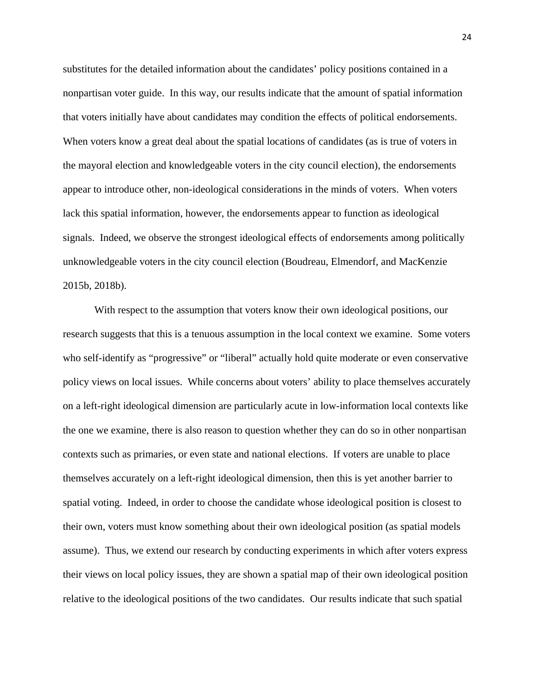substitutes for the detailed information about the candidates' policy positions contained in a nonpartisan voter guide. In this way, our results indicate that the amount of spatial information that voters initially have about candidates may condition the effects of political endorsements. When voters know a great deal about the spatial locations of candidates (as is true of voters in the mayoral election and knowledgeable voters in the city council election), the endorsements appear to introduce other, non-ideological considerations in the minds of voters. When voters lack this spatial information, however, the endorsements appear to function as ideological signals. Indeed, we observe the strongest ideological effects of endorsements among politically unknowledgeable voters in the city council election (Boudreau, Elmendorf, and MacKenzie 2015b, 2018b).

With respect to the assumption that voters know their own ideological positions, our research suggests that this is a tenuous assumption in the local context we examine. Some voters who self-identify as "progressive" or "liberal" actually hold quite moderate or even conservative policy views on local issues. While concerns about voters' ability to place themselves accurately on a left-right ideological dimension are particularly acute in low-information local contexts like the one we examine, there is also reason to question whether they can do so in other nonpartisan contexts such as primaries, or even state and national elections. If voters are unable to place themselves accurately on a left-right ideological dimension, then this is yet another barrier to spatial voting. Indeed, in order to choose the candidate whose ideological position is closest to their own, voters must know something about their own ideological position (as spatial models assume). Thus, we extend our research by conducting experiments in which after voters express their views on local policy issues, they are shown a spatial map of their own ideological position relative to the ideological positions of the two candidates. Our results indicate that such spatial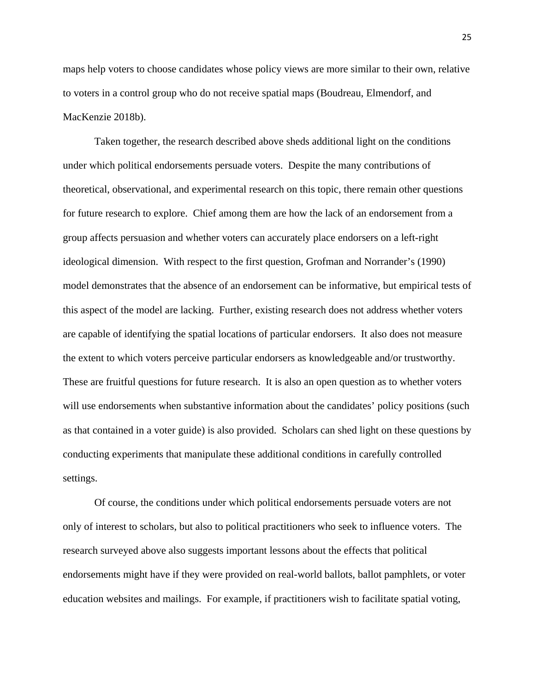maps help voters to choose candidates whose policy views are more similar to their own, relative to voters in a control group who do not receive spatial maps (Boudreau, Elmendorf, and MacKenzie 2018b).

Taken together, the research described above sheds additional light on the conditions under which political endorsements persuade voters. Despite the many contributions of theoretical, observational, and experimental research on this topic, there remain other questions for future research to explore. Chief among them are how the lack of an endorsement from a group affects persuasion and whether voters can accurately place endorsers on a left-right ideological dimension. With respect to the first question, Grofman and Norrander's (1990) model demonstrates that the absence of an endorsement can be informative, but empirical tests of this aspect of the model are lacking. Further, existing research does not address whether voters are capable of identifying the spatial locations of particular endorsers. It also does not measure the extent to which voters perceive particular endorsers as knowledgeable and/or trustworthy. These are fruitful questions for future research. It is also an open question as to whether voters will use endorsements when substantive information about the candidates' policy positions (such as that contained in a voter guide) is also provided. Scholars can shed light on these questions by conducting experiments that manipulate these additional conditions in carefully controlled settings.

Of course, the conditions under which political endorsements persuade voters are not only of interest to scholars, but also to political practitioners who seek to influence voters. The research surveyed above also suggests important lessons about the effects that political endorsements might have if they were provided on real-world ballots, ballot pamphlets, or voter education websites and mailings. For example, if practitioners wish to facilitate spatial voting,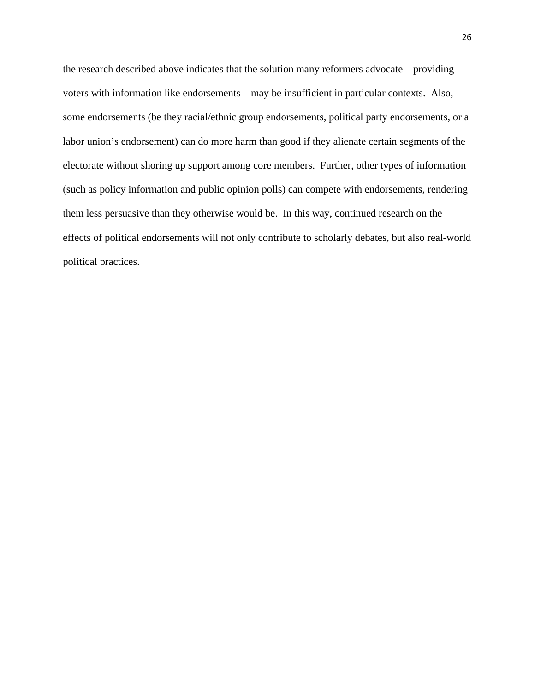the research described above indicates that the solution many reformers advocate—providing voters with information like endorsements—may be insufficient in particular contexts. Also, some endorsements (be they racial/ethnic group endorsements, political party endorsements, or a labor union's endorsement) can do more harm than good if they alienate certain segments of the electorate without shoring up support among core members. Further, other types of information (such as policy information and public opinion polls) can compete with endorsements, rendering them less persuasive than they otherwise would be. In this way, continued research on the effects of political endorsements will not only contribute to scholarly debates, but also real-world political practices.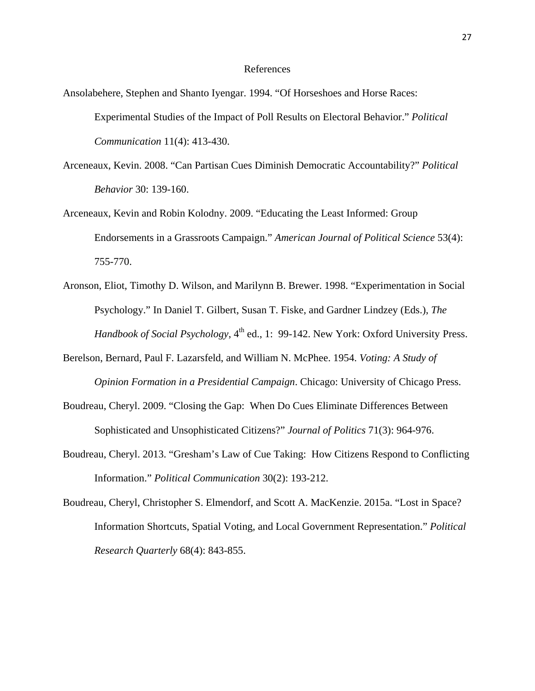#### References

- Ansolabehere, Stephen and Shanto Iyengar. 1994. "Of Horseshoes and Horse Races: Experimental Studies of the Impact of Poll Results on Electoral Behavior." *Political Communication* 11(4): 413-430.
- Arceneaux, Kevin. 2008. "Can Partisan Cues Diminish Democratic Accountability?" *Political Behavior* 30: 139-160.
- Arceneaux, Kevin and Robin Kolodny. 2009. "Educating the Least Informed: Group Endorsements in a Grassroots Campaign." *American Journal of Political Science* 53(4): 755-770.
- Aronson, Eliot, Timothy D. Wilson, and Marilynn B. Brewer. 1998. "Experimentation in Social Psychology." In Daniel T. Gilbert, Susan T. Fiske, and Gardner Lindzey (Eds.), *The Handbook of Social Psychology*,  $4^{\text{th}}$  ed., 1: 99-142. New York: Oxford University Press.
- Berelson, Bernard, Paul F. Lazarsfeld, and William N. McPhee. 1954. *Voting: A Study of Opinion Formation in a Presidential Campaign*. Chicago: University of Chicago Press.
- Boudreau, Cheryl. 2009. "Closing the Gap: When Do Cues Eliminate Differences Between Sophisticated and Unsophisticated Citizens?" *Journal of Politics* 71(3): 964-976.
- Boudreau, Cheryl. 2013. "Gresham's Law of Cue Taking: How Citizens Respond to Conflicting Information." *Political Communication* 30(2): 193-212.
- Boudreau, Cheryl, Christopher S. Elmendorf, and Scott A. MacKenzie. 2015a. "Lost in Space? Information Shortcuts, Spatial Voting, and Local Government Representation." *Political Research Quarterly* 68(4): 843-855.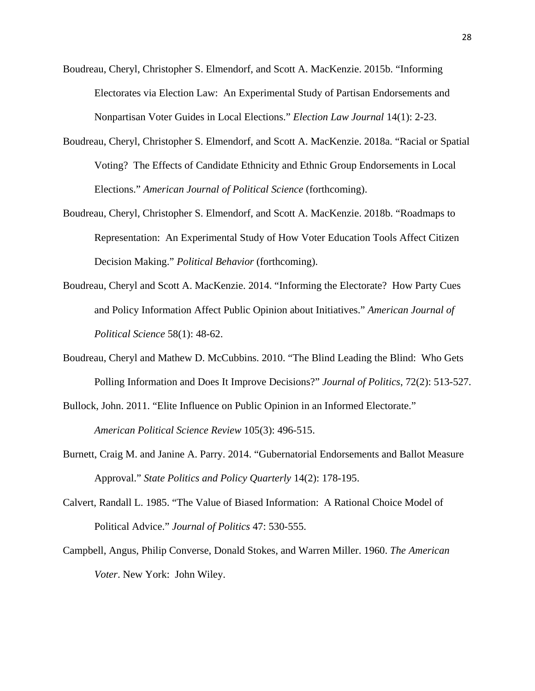Boudreau, Cheryl, Christopher S. Elmendorf, and Scott A. MacKenzie. 2015b. "Informing Electorates via Election Law: An Experimental Study of Partisan Endorsements and Nonpartisan Voter Guides in Local Elections." *Election Law Journal* 14(1): 2-23.

- Boudreau, Cheryl, Christopher S. Elmendorf, and Scott A. MacKenzie. 2018a. "Racial or Spatial Voting? The Effects of Candidate Ethnicity and Ethnic Group Endorsements in Local Elections." *American Journal of Political Science* (forthcoming).
- Boudreau, Cheryl, Christopher S. Elmendorf, and Scott A. MacKenzie. 2018b. "Roadmaps to Representation: An Experimental Study of How Voter Education Tools Affect Citizen Decision Making." *Political Behavior* (forthcoming).
- Boudreau, Cheryl and Scott A. MacKenzie. 2014. "Informing the Electorate? How Party Cues and Policy Information Affect Public Opinion about Initiatives." *American Journal of Political Science* 58(1): 48-62.
- Boudreau, Cheryl and Mathew D. McCubbins. 2010. "The Blind Leading the Blind: Who Gets Polling Information and Does It Improve Decisions?" *Journal of Politics*, 72(2): 513-527.
- Bullock, John. 2011. "Elite Influence on Public Opinion in an Informed Electorate."

*American Political Science Review* 105(3): 496-515.

- Burnett, Craig M. and Janine A. Parry. 2014. "Gubernatorial Endorsements and Ballot Measure Approval." *State Politics and Policy Quarterly* 14(2): 178-195.
- Calvert, Randall L. 1985. "The Value of Biased Information: A Rational Choice Model of Political Advice." *Journal of Politics* 47: 530-555.
- Campbell, Angus, Philip Converse, Donald Stokes, and Warren Miller. 1960. *The American Voter*. New York: John Wiley.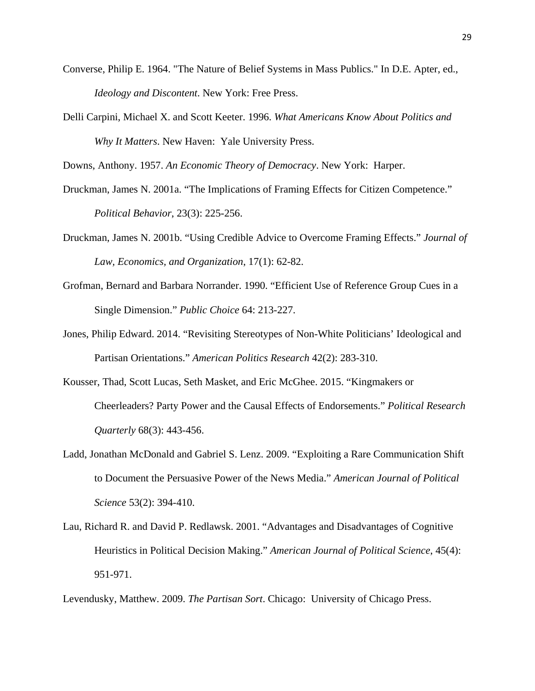- Converse, Philip E. 1964. "The Nature of Belief Systems in Mass Publics." In D.E. Apter, ed., *Ideology and Discontent*. New York: Free Press.
- Delli Carpini, Michael X. and Scott Keeter. 1996. *What Americans Know About Politics and Why It Matters*. New Haven: Yale University Press.

Downs, Anthony. 1957. *An Economic Theory of Democracy*. New York: Harper.

- Druckman, James N. 2001a. "The Implications of Framing Effects for Citizen Competence." *Political Behavior*, 23(3): 225-256.
- Druckman, James N. 2001b. "Using Credible Advice to Overcome Framing Effects." *Journal of Law, Economics, and Organization*, 17(1): 62-82.
- Grofman, Bernard and Barbara Norrander. 1990. "Efficient Use of Reference Group Cues in a Single Dimension." *Public Choice* 64: 213-227.
- Jones, Philip Edward. 2014. "Revisiting Stereotypes of Non-White Politicians' Ideological and Partisan Orientations." *American Politics Research* 42(2): 283-310.
- Kousser, Thad, Scott Lucas, Seth Masket, and Eric McGhee. 2015. "Kingmakers or Cheerleaders? Party Power and the Causal Effects of Endorsements." *Political Research Quarterly* 68(3): 443-456.
- Ladd, Jonathan McDonald and Gabriel S. Lenz. 2009. "Exploiting a Rare Communication Shift to Document the Persuasive Power of the News Media." *American Journal of Political Science* 53(2): 394-410.
- Lau, Richard R. and David P. Redlawsk. 2001. "Advantages and Disadvantages of Cognitive Heuristics in Political Decision Making." *American Journal of Political Science*, 45(4): 951-971.

Levendusky, Matthew. 2009. *The Partisan Sort*. Chicago: University of Chicago Press.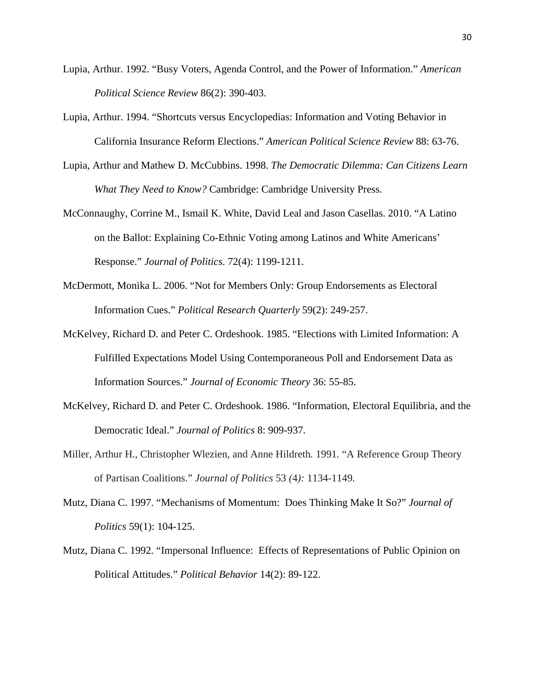- Lupia, Arthur. 1992. "Busy Voters, Agenda Control, and the Power of Information." *American Political Science Review* 86(2): 390-403.
- Lupia, Arthur. 1994. "Shortcuts versus Encyclopedias: Information and Voting Behavior in California Insurance Reform Elections." *American Political Science Review* 88: 63-76.
- Lupia, Arthur and Mathew D. McCubbins. 1998. *The Democratic Dilemma: Can Citizens Learn What They Need to Know?* Cambridge: Cambridge University Press.
- McConnaughy, Corrine M., Ismail K. White, David Leal and Jason Casellas. 2010. "A Latino on the Ballot: Explaining Co-Ethnic Voting among Latinos and White Americans' Response." *Journal of Politics*. 72(4): 1199-1211.
- McDermott, Monika L. 2006. "Not for Members Only: Group Endorsements as Electoral Information Cues." *Political Research Quarterly* 59(2): 249-257.
- McKelvey, Richard D. and Peter C. Ordeshook. 1985. "Elections with Limited Information: A Fulfilled Expectations Model Using Contemporaneous Poll and Endorsement Data as Information Sources." *Journal of Economic Theory* 36: 55-85.
- McKelvey, Richard D. and Peter C. Ordeshook. 1986. "Information, Electoral Equilibria, and the Democratic Ideal." *Journal of Politics* 8: 909-937.
- Miller, Arthur H.*,* Christopher Wlezien*,* and Anne Hildreth*.* 1991*.* "A Reference Group Theory of Partisan Coalitions." *Journal of Politics* 53 *(*4*):* 1134*-*1149*.*
- Mutz, Diana C. 1997. "Mechanisms of Momentum: Does Thinking Make It So?" *Journal of Politics* 59(1): 104-125.
- Mutz, Diana C. 1992. "Impersonal Influence: Effects of Representations of Public Opinion on Political Attitudes." *Political Behavior* 14(2): 89-122.